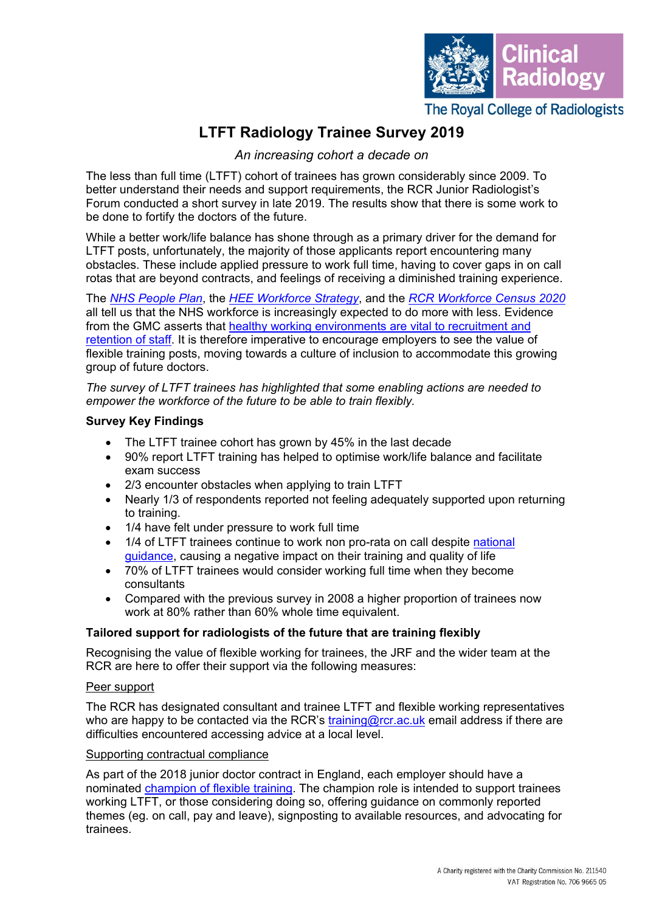

# **LTFT Radiology Trainee Survey 2019**

*An increasing cohort a decade on*

The less than full time (LTFT) cohort of trainees has grown considerably since 2009. To better understand their needs and support requirements, the RCR Junior Radiologist's Forum conducted a short survey in late 2019. The results show that there is some work to be done to fortify the doctors of the future.

While a better work/life balance has shone through as a primary driver for the demand for LTFT posts, unfortunately, the majority of those applicants report encountering many obstacles. These include applied pressure to work full time, having to cover gaps in on call rotas that are beyond contracts, and feelings of receiving a diminished training experience.

The *[NHS People Plan](https://www.england.nhs.uk/ournhspeople/)*, the *HEE [Workforce Strategy](https://www.hee.nhs.uk/our-work/workforce-strategy)*, and the *RCR [Workforce Census](https://www.rcr.ac.uk/clinical-radiology/service-delivery/rcr-radiology-workforce-census) 2020* all tell us that the NHS workforce is increasingly expected to do more with less. Evidence from the GMC asserts that [healthy working environments are vital to recruitment and](https://www.gmc-uk.org/about/how-we-work/corporate-strategy-plans-and-impact/supporting-a-profession-under-pressure/uk-wide-review-of-doctors-and-medical-students-wellbeing)  [retention of staff.](https://www.gmc-uk.org/about/how-we-work/corporate-strategy-plans-and-impact/supporting-a-profession-under-pressure/uk-wide-review-of-doctors-and-medical-students-wellbeing) It is therefore imperative to encourage employers to see the value of flexible training posts, moving towards a culture of inclusion to accommodate this growing group of future doctors.

*The survey of LTFT trainees has highlighted that some enabling actions are needed to empower the workforce of the future to be able to train flexibly.*

## **Survey Key Findings**

- The LTFT trainee cohort has grown by 45% in the last decade
- 90% report LTFT training has helped to optimise work/life balance and facilitate exam success
- 2/3 encounter obstacles when applying to train LTFT
- Nearly 1/3 of respondents reported not feeling adequately supported upon returning to training.
- 1/4 have felt under pressure to work full time
- 1/4 of LTFT trainees continue to work non pro-rata on call despite national guidance, causing a negative impact on their training and quality of life
- 70% of LTFT trainees would consider working full time when they become consultants
- Compared with the previous survey in 2008 a higher proportion of trainees now work at 80% rather than 60% whole time equivalent.

## **Tailored support for radiologists of the future that are training flexibly**

Recognising the value of flexible working for trainees, the JRF and the wider team at the RCR are here to offer their support via the following measures:

#### Peer support

The RCR has designated consultant and trainee LTFT and flexible working representatives who are happy to be contacted via the RCR's [training@rcr.ac.uk](mailto:training@rcr.ac.uk) email address if there are difficulties encountered accessing advice at a local level.

#### Supporting contractual compliance

As part of the 2018 junior doctor contract in England, each employer should have a nominated [champion of flexible training.](https://www.nhsemployers.org/pay-pensions-and-reward/medical-staff/doctors-and-dentists-in-training/terms-and-conditions-contracts/champions-of-flexible-training-guidance) The champion role is intended to support trainees working LTFT, or those considering doing so, offering guidance on commonly reported themes (eg. on call, pay and leave), signposting to available resources, and advocating for trainees.